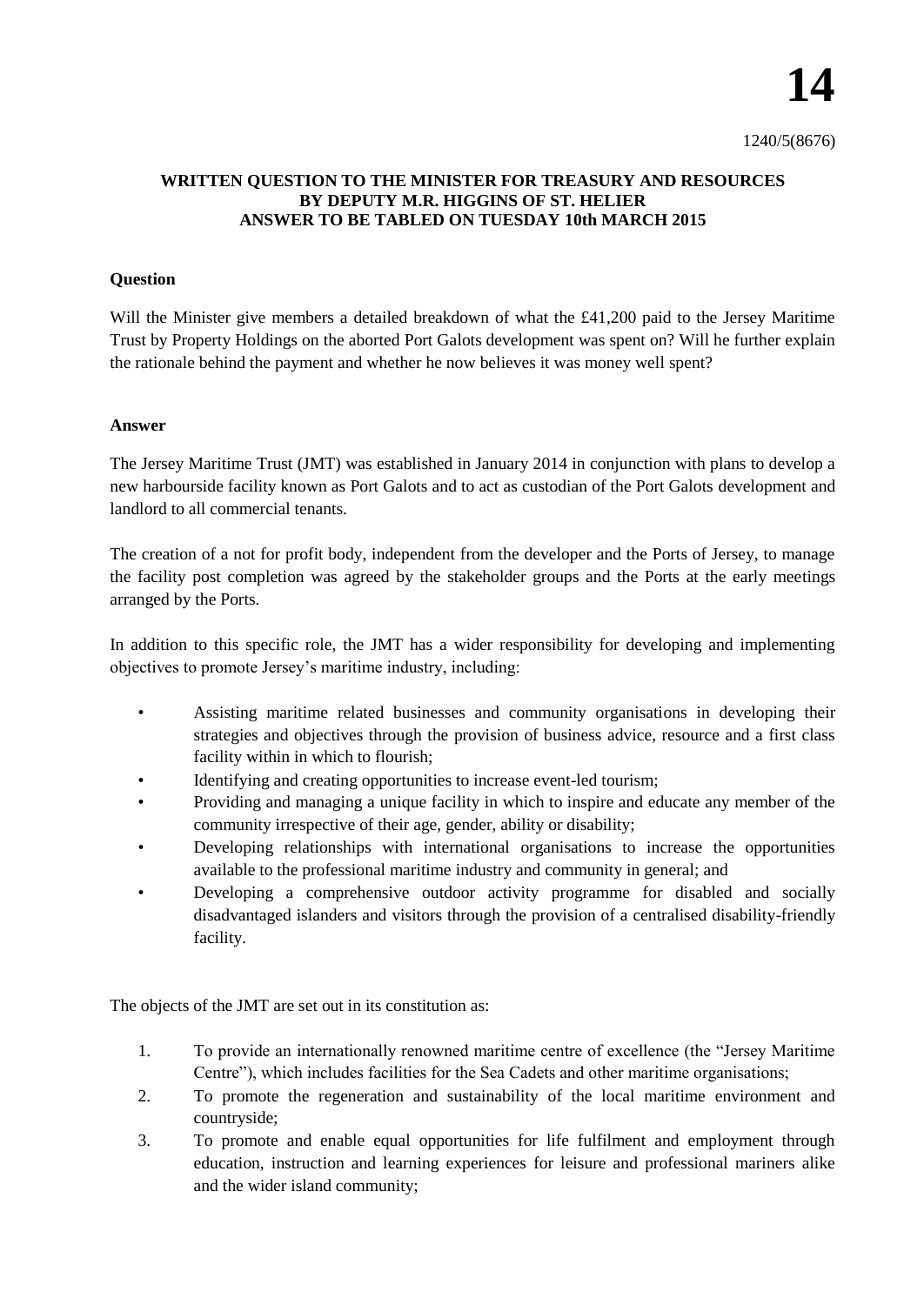## **WRITTEN QUESTION TO THE MINISTER FOR TREASURY AND RESOURCES BY DEPUTY M.R. HIGGINS OF ST. HELIER ANSWER TO BE TABLED ON TUESDAY 10th MARCH 2015**

## **Question**

Will the Minister give members a detailed breakdown of what the £41,200 paid to the Jersey Maritime Trust by Property Holdings on the aborted Port Galots development was spent on? Will he further explain the rationale behind the payment and whether he now believes it was money well spent?

## **Answer**

The Jersey Maritime Trust (JMT) was established in January 2014 in conjunction with plans to develop a new harbourside facility known as Port Galots and to act as custodian of the Port Galots development and landlord to all commercial tenants.

The creation of a not for profit body, independent from the developer and the Ports of Jersey, to manage the facility post completion was agreed by the stakeholder groups and the Ports at the early meetings arranged by the Ports.

In addition to this specific role, the JMT has a wider responsibility for developing and implementing objectives to promote Jersey's maritime industry, including:

- Assisting maritime related businesses and community organisations in developing their strategies and objectives through the provision of business advice, resource and a first class facility within in which to flourish;
- Identifying and creating opportunities to increase event-led tourism;
- Providing and managing a unique facility in which to inspire and educate any member of the community irrespective of their age, gender, ability or disability;
- Developing relationships with international organisations to increase the opportunities available to the professional maritime industry and community in general; and
- Developing a comprehensive outdoor activity programme for disabled and socially disadvantaged islanders and visitors through the provision of a centralised disability-friendly facility.

The objects of the JMT are set out in its constitution as:

- 1. To provide an internationally renowned maritime centre of excellence (the "Jersey Maritime Centre"), which includes facilities for the Sea Cadets and other maritime organisations;
- 2. To promote the regeneration and sustainability of the local maritime environment and countryside;
- 3. To promote and enable equal opportunities for life fulfilment and employment through education, instruction and learning experiences for leisure and professional mariners alike and the wider island community;